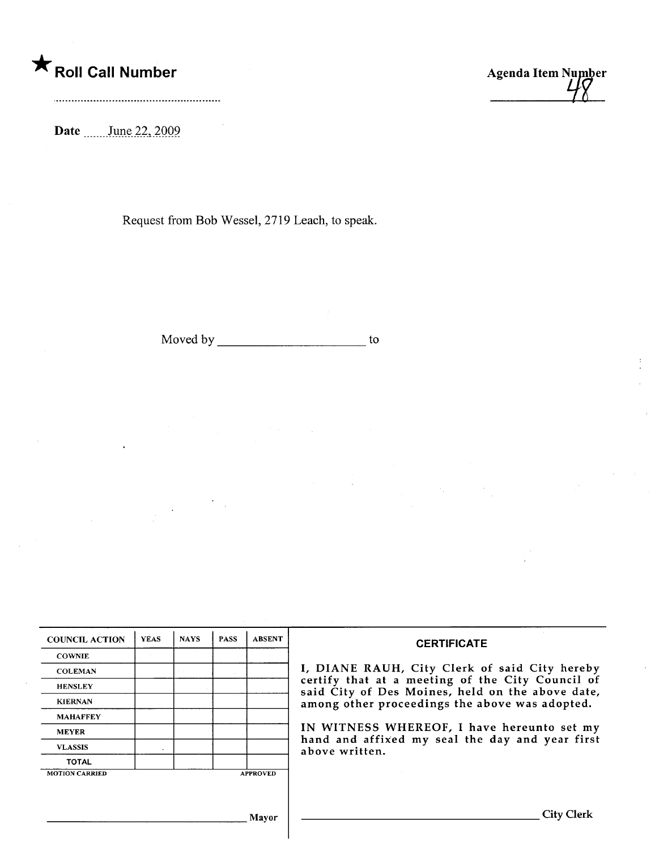## \* Roll Call Number Agenda Item Number

Date \_\_\_\_\_\_\_ June 22, 2009.

Request from Bob Wessel, 2719 Leach, to speak.

Moved by to to the state of the state of the state of the state of the state of the state of the state of the state of the state of the state of the state of the state of the state of the state of the state of the state of

 $\langle \cdot \rangle_{\perp}$ 

 $\ddot{\phantom{a}}$ 

| <b>COWNIE</b><br><b>COLEMAN</b><br>certify that at a meeting of the City Council of<br><b>HENSLEY</b><br>said City of Des Moines, held on the above date,<br><b>KIERNAN</b><br>among other proceedings the above was adopted.<br><b>MAHAFFEY</b><br><b>MEYER</b><br>hand and affixed my seal the day and year first<br><b>VLASSIS</b><br>above written.<br><b>TOTAL</b><br><b>MOTION CARRIED</b><br><b>APPROVED</b> | <b>COUNCIL ACTION</b> | <b>YEAS</b> | <b>NAYS</b> | <b>PASS</b> | <b>ABSENT</b> | <b>CERTIFICATE</b>                            |  |  |  |
|---------------------------------------------------------------------------------------------------------------------------------------------------------------------------------------------------------------------------------------------------------------------------------------------------------------------------------------------------------------------------------------------------------------------|-----------------------|-------------|-------------|-------------|---------------|-----------------------------------------------|--|--|--|
|                                                                                                                                                                                                                                                                                                                                                                                                                     |                       |             |             |             |               |                                               |  |  |  |
|                                                                                                                                                                                                                                                                                                                                                                                                                     |                       |             |             |             |               | I, DIANE RAUH, City Clerk of said City hereby |  |  |  |
|                                                                                                                                                                                                                                                                                                                                                                                                                     |                       |             |             |             |               |                                               |  |  |  |
|                                                                                                                                                                                                                                                                                                                                                                                                                     |                       |             |             |             |               |                                               |  |  |  |
|                                                                                                                                                                                                                                                                                                                                                                                                                     |                       |             |             |             |               |                                               |  |  |  |
|                                                                                                                                                                                                                                                                                                                                                                                                                     |                       |             |             |             |               | IN WITNESS WHEREOF, I have hereunto set my    |  |  |  |
|                                                                                                                                                                                                                                                                                                                                                                                                                     |                       |             |             |             |               |                                               |  |  |  |
|                                                                                                                                                                                                                                                                                                                                                                                                                     |                       |             |             |             |               |                                               |  |  |  |
|                                                                                                                                                                                                                                                                                                                                                                                                                     |                       |             |             |             |               |                                               |  |  |  |

Mayor City Clerk

 $\mathcal{A}_k$  .